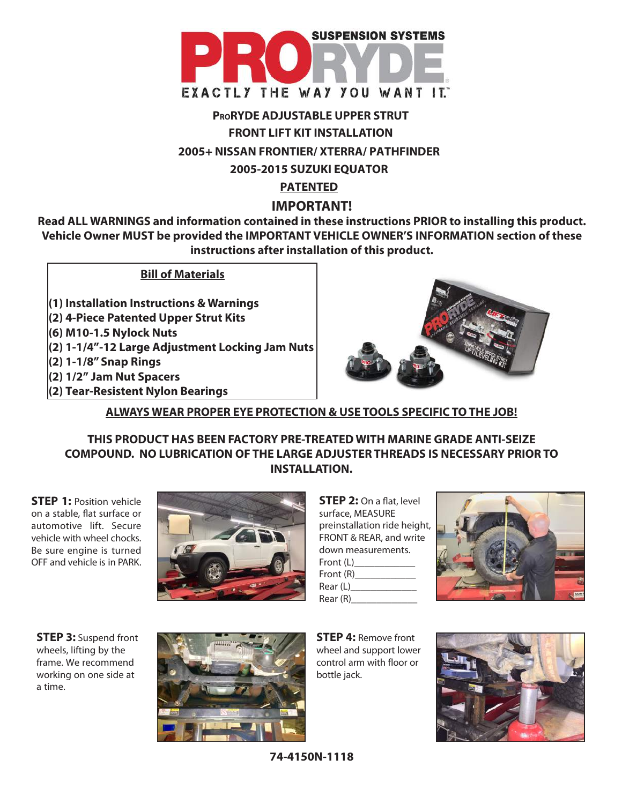

# **PRORYDE ADJUSTABLE UPPER STRUT FRONT LIFT KIT INSTALLATION 2005+ NISSAN FRONTIER/ XTERRA/ PATHFINDER 2005-2015 SUZUKI EQUATOR PATENTED**

## **IMPORTANT!**

**Read ALL WARNINGS and information contained in these instructions PRIOR to installing this product. Vehicle Owner MUST be provided the IMPORTANT VEHICLE OWNER'S INFORMATION section of these instructions after installation of this product.**

## **Bill of Materials**

**(1) Installation Instructions & Warnings (2) 4-Piece Patented Upper Strut Kits (6) M10-1.5 Nylock Nuts (2) 1-1/4"-12 Large Adjustment Locking Jam Nuts (2) 1-1/8" Snap Rings (2) 1/2" Jam Nut Spacers (2) Tear-Resistent Nylon Bearings**



## **ALWAYS WEAR PROPER EYE PROTECTION & USE TOOLS SPECIFIC TO THE JOB!**

**THIS PRODUCT HAS BEEN FACTORY PRE-TREATED WITH MARINE GRADE ANTI-SEIZE COMPOUND. NO LUBRICATION OF THE LARGE ADJUSTER THREADS IS NECESSARY PRIOR TO INSTALLATION.**

**STEP 1:** Position vehicle on a stable, flat surface or automotive lift. Secure vehicle with wheel chocks. Be sure engine is turned OFF and vehicle is in PARK.



**STEP 2:** On a flat, level surface, MEASURE preinstallation ride height, FRONT & REAR, and write down measurements. Front (L)\_\_\_\_\_\_\_\_\_\_\_\_ Front (R)\_\_\_\_\_\_\_\_\_\_\_\_ Rear (L) Rear (R)



**STEP 3:** Suspend front wheels, lifting by the frame. We recommend working on one side at a time.



**STEP 4:** Remove front wheel and support lower control arm with floor or bottle jack.



**74-4150N-1118**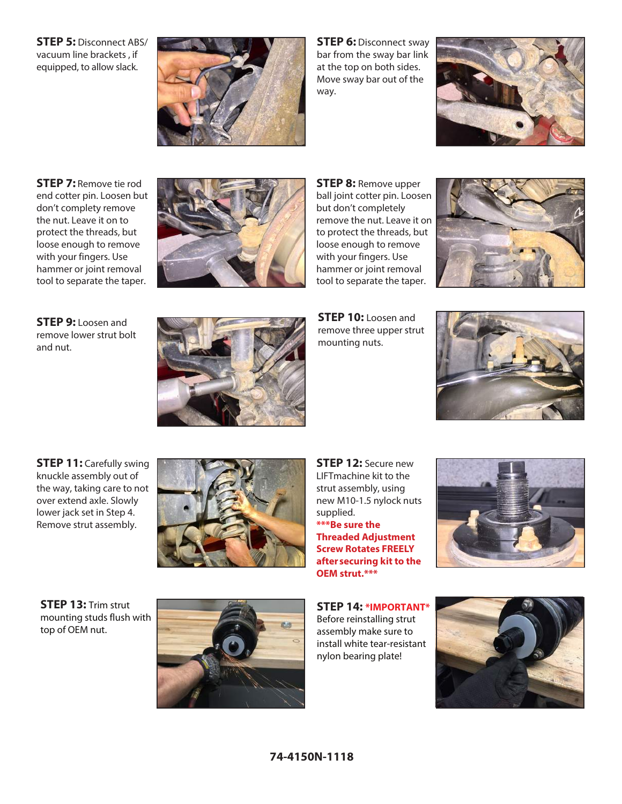**STEP 5:** Disconnect ABS/ vacuum line brackets , if equipped, to allow slack.



**STEP 6: Disconnect sway** bar from the sway bar link at the top on both sides. Move sway bar out of the way.



**STEP 7:** Remove tie rod end cotter pin. Loosen but don't complety remove the nut. Leave it on to protect the threads, but loose enough to remove with your fingers. Use hammer or joint removal tool to separate the taper.



**STEP 8:** Remove upper ball joint cotter pin. Loosen but don't completely remove the nut. Leave it on to protect the threads, but loose enough to remove with your fingers. Use hammer or joint removal tool to separate the taper.



**STEP 9:** Loosen and remove lower strut bolt and nut.



**STEP 10:** Loosen and remove three upper strut mounting nuts.



**STEP 11:** Carefully swing knuckle assembly out of the way, taking care to not over extend axle. Slowly lower jack set in Step 4. Remove strut assembly.



**STEP 12:** Secure new LIFTmachine kit to the strut assembly, using new M10-1.5 nylock nuts supplied. **\*\*\*Be sure the Threaded Adjustment Screw Rotates FREELY after securing kit to the OEM strut.\*\*\***



**STEP 13:** Trim strut mounting studs flush with top of OEM nut.



**STEP 14: \*IMPORTANT\*** Before reinstalling strut assembly make sure to install white tear-resistant nylon bearing plate!

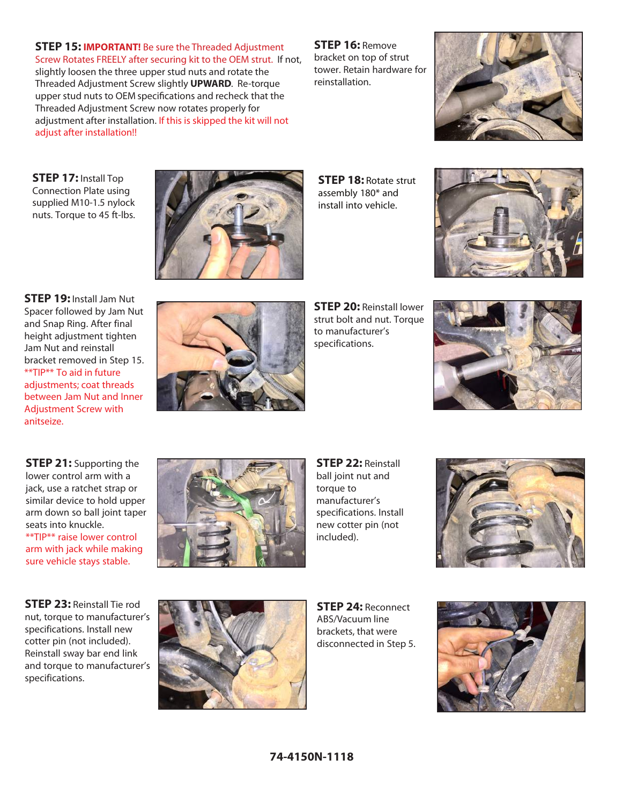#### **STEP 15: IMPORTANT!** Be sure the Threaded Adjustment

Screw Rotates FREELY after securing kit to the OEM strut. If not, slightly loosen the three upper stud nuts and rotate the Threaded Adjustment Screw slightly **UPWARD**. Re-torque upper stud nuts to OEM specifications and recheck that the Threaded Adjustment Screw now rotates properly for adjustment after installation. If this is skipped the kit will not adjust after installation!!

**STEP 16:** Remove bracket on top of strut tower. Retain hardware for reinstallation.



**STEP 17:** Install Top Connection Plate using supplied M10-1.5 nylock nuts. Torque to 45 ft-lbs.



**STEP 18:** Rotate strut assembly 180\* and install into vehicle.



**STEP 19:** Install Jam Nut Spacer followed by Jam Nut and Snap Ring. After final height adjustment tighten Jam Nut and reinstall bracket removed in Step 15. \*\*TIP\*\* To aid in future adjustments; coat threads between Jam Nut and Inner Adjustment Screw with anitseize.



**STEP 20:** Reinstall lower strut bolt and nut. Torque to manufacturer's specifications.



**STEP 21:** Supporting the lower control arm with a jack, use a ratchet strap or similar device to hold upper arm down so ball joint taper seats into knuckle. \*\*TIP\*\* raise lower control arm with jack while making sure vehicle stays stable.

**STEP 23:** Reinstall Tie rod nut, torque to manufacturer's specifications. Install new cotter pin (not included). Reinstall sway bar end link and torque to manufacturer's specifications.



**STEP 22:** Reinstall ball joint nut and torque to manufacturer's specifications. Install new cotter pin (not included).





**STEP 24:** Reconnect ABS/Vacuum line brackets, that were disconnected in Step 5.

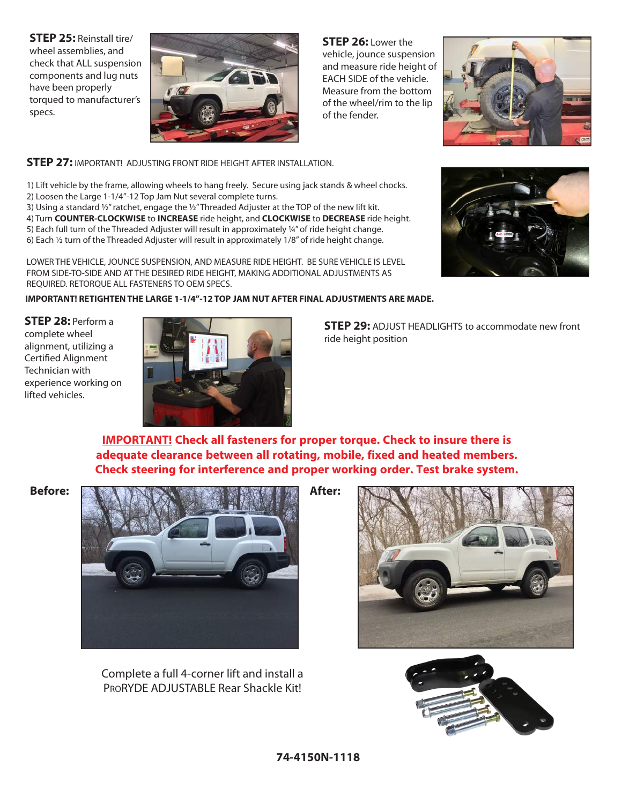**STEP 25:** Reinstall tire/ wheel assemblies, and check that ALL suspension components and lug nuts have been properly torqued to manufacturer's specs.



**STEP 26:** Lower the vehicle, jounce suspension and measure ride height of EACH SIDE of the vehicle. Measure from the bottom of the wheel/rim to the lip of the fender.



#### **STEP 27:** IMPORTANT! ADJUSTING FRONT RIDE HEIGHT AFTER INSTALLATION.

1) Lift vehicle by the frame, allowing wheels to hang freely. Secure using jack stands & wheel chocks. 2) Loosen the Large 1-1/4"-12 Top Jam Nut several complete turns.

3) Using a standard ½" ratchet, engage the ½" Threaded Adjuster at the TOP of the new lift kit. 4) Turn **COUNTER-CLOCKWISE** to **INCREASE** ride height, and **CLOCKWISE** to **DECREASE** ride height. 5) Each full turn of the Threaded Adjuster will result in approximately ¼" of ride height change. 6) Each ½ turn of the Threaded Adjuster will result in approximately 1/8" of ride height change.

LOWER THE VEHICLE, JOUNCE SUSPENSION, AND MEASURE RIDE HEIGHT. BE SURE VEHICLE IS LEVEL FROM SIDE-TO-SIDE AND AT THE DESIRED RIDE HEIGHT, MAKING ADDITIONAL ADJUSTMENTS AS REQUIRED. RETORQUE ALL FASTENERS TO OEM SPECS.

#### **IMPORTANT! RETIGHTEN THE LARGE 1-1/4"-12 TOP JAM NUT AFTER FINAL ADJUSTMENTS ARE MADE.**

**STEP 28:** Perform a complete wheel alignment, utilizing a Certified Alignment Technician with experience working on lifted vehicles.



**STEP 29:** ADJUST HEADLIGHTS to accommodate new front ride height position

**IMPORTANT! Check all fasteners for proper torque. Check to insure there is adequate clearance between all rotating, mobile, fixed and heated members. Check steering for interference and proper working order. Test brake system.**



Complete a full 4-corner lift and install a PRORYDE ADJUSTABLE Rear Shackle Kit!





#### **74-4150N-1118**